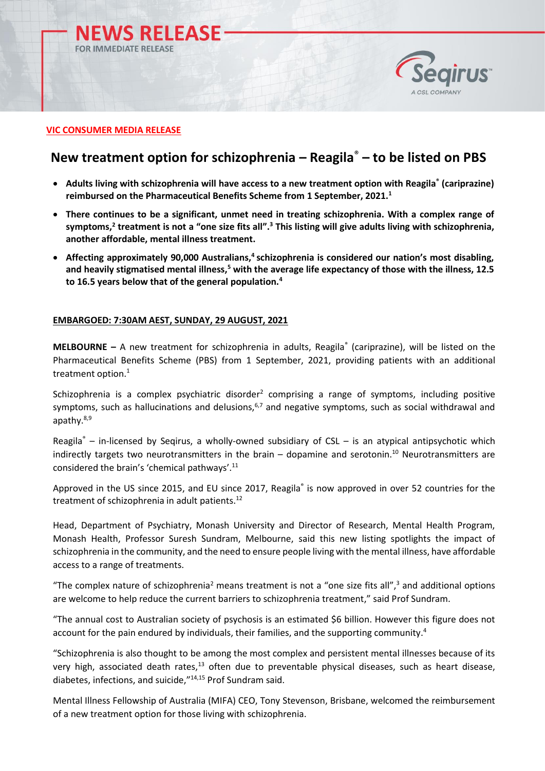



# **VIC CONSUMER MEDIA RELEASE**

# **New treatment option for schizophrenia – Reagila**® **– to be listed on PBS**

- **Adults living with schizophrenia will have access to a new treatment option with Reagila® (cariprazine) reimbursed on the Pharmaceutical Benefits Scheme from 1 September, 2021.<sup>1</sup>**
- **There continues to be a significant, unmet need in treating schizophrenia. With a complex range of symptoms,<sup>2</sup> treatment is not a "one size fits all". <sup>3</sup> This listing will give adults living with schizophrenia, another affordable, mental illness treatment.**
- **Affecting approximately 90,000 Australians,<sup>4</sup> schizophrenia is considered our nation's most disabling, and heavily stigmatised mental illness,<sup>5</sup> with the average life expectancy of those with the illness, 12.5 to 16.5 years below that of the general population.<sup>4</sup>**

# **EMBARGOED: 7:30AM AEST, SUNDAY, 29 AUGUST, 2021**

**MELBOURNE –** A new treatment for schizophrenia in adults, Reagila® (cariprazine), will be listed on the Pharmaceutical Benefits Scheme (PBS) from 1 September, 2021, providing patients with an additional treatment option.<sup>1</sup>

Schizophrenia is a complex psychiatric disorder<sup>2</sup> comprising a range of symptoms, including positive symptoms, such as hallucinations and delusions, $6,7$  and negative symptoms, such as social withdrawal and apathy.<sup>8,9</sup>

Reagila $\degree$  – in-licensed by Seqirus, a wholly-owned subsidiary of CSL – is an atypical antipsychotic which indirectly targets two neurotransmitters in the brain  $-$  dopamine and serotonin.<sup>10</sup> Neurotransmitters are considered the brain's 'chemical pathways'. 11

Approved in the US since 2015, and EU since 2017, Reagila<sup>®</sup> is now approved in over 52 countries for the treatment of schizophrenia in adult patients.<sup>12</sup>

Head, Department of Psychiatry, Monash University and Director of Research, Mental Health Program, Monash Health, Professor Suresh Sundram, Melbourne, said this new listing spotlights the impact of schizophrenia in the community, and the need to ensure people living with the mental illness, have affordable access to a range of treatments.

"The complex nature of schizophrenia<sup>2</sup> means treatment is not a "one size fits all",<sup>3</sup> and additional options are welcome to help reduce the current barriers to schizophrenia treatment," said Prof Sundram.

"The annual cost to Australian society of psychosis is an estimated \$6 billion. However this figure does not account for the pain endured by individuals, their families, and the supporting community.<sup>4</sup>

"Schizophrenia is also thought to be among the most complex and persistent mental illnesses because of its very high, associated death rates,<sup>13</sup> often due to preventable physical diseases, such as heart disease, diabetes, infections, and suicide," 14,15 Prof Sundram said.

Mental Illness Fellowship of Australia (MIFA) CEO, Tony Stevenson, Brisbane, welcomed the reimbursement of a new treatment option for those living with schizophrenia.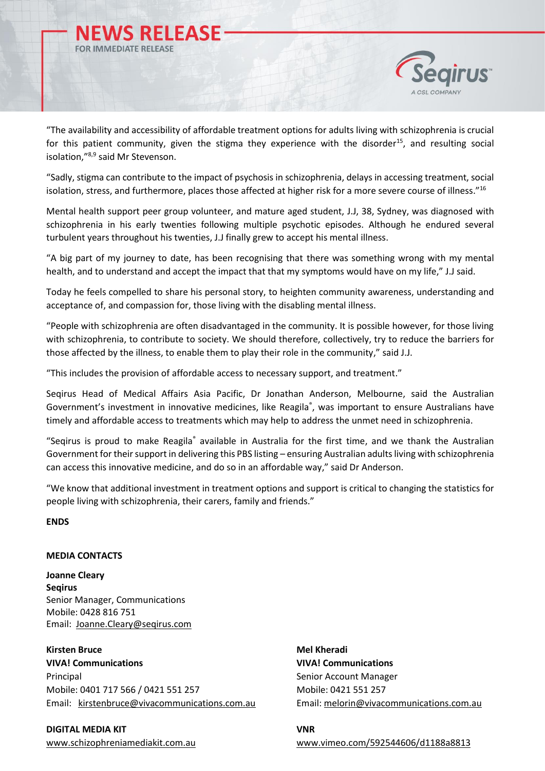



"The availability and accessibility of affordable treatment options for adults living with schizophrenia is crucial for this patient community, given the stigma they experience with the disorder<sup>15</sup>, and resulting social isolation,"8,9 said Mr Stevenson.

"Sadly, stigma can contribute to the impact of psychosis in schizophrenia, delays in accessing treatment, social isolation, stress, and furthermore, places those affected at higher risk for a more severe course of illness."<sup>16</sup>

Mental health support peer group volunteer, and mature aged student, J.J, 38, Sydney, was diagnosed with schizophrenia in his early twenties following multiple psychotic episodes. Although he endured several turbulent years throughout his twenties, J.J finally grew to accept his mental illness.

"A big part of my journey to date, has been recognising that there was something wrong with my mental health, and to understand and accept the impact that that my symptoms would have on my life," J.J said.

Today he feels compelled to share his personal story, to heighten community awareness, understanding and acceptance of, and compassion for, those living with the disabling mental illness.

"People with schizophrenia are often disadvantaged in the community. It is possible however, for those living with schizophrenia, to contribute to society. We should therefore, collectively, try to reduce the barriers for those affected by the illness, to enable them to play their role in the community," said J.J.

"This includes the provision of affordable access to necessary support, and treatment."

Seqirus Head of Medical Affairs Asia Pacific, Dr Jonathan Anderson, Melbourne, said the Australian Government's investment in innovative medicines, like Reagila®, was important to ensure Australians have timely and affordable access to treatments which may help to address the unmet need in schizophrenia.

"Seqirus is proud to make Reagila® available in Australia for the first time, and we thank the Australian Government for their support in delivering this PBS listing – ensuring Australian adults living with schizophrenia can access this innovative medicine, and do so in an affordable way," said Dr Anderson.

"We know that additional investment in treatment options and support is critical to changing the statistics for people living with schizophrenia, their carers, family and friends."

**ENDS** 

# **MEDIA CONTACTS**

**Joanne Cleary Seqirus** Senior Manager, Communications Mobile: 0428 816 751 Email: [Joanne.Cleary@seqirus.com](mailto:Joanne.Cleary@seqirus.com)

**Kirsten Bruce Mel Kheradi VIVA! Communications VIVA! Communications** Principal **Senior Account Manager** Senior Account Manager Mobile: 0401 717 566 / 0421 551 257 Mobile: 0421 551 257 Email: [kirstenbruce@vivacommunications.com.au](mailto:kirstenbruce@vivacommunications.com.au) Email: [melorin@vivacommunications.com.au](mailto:melorin@vivacommunications.com.au)

**DIGITAL MEDIA KIT** VNR

[www.schizophreniamediakit.com.au](http://www.schizophreniamediakit.com.au/) [www.vimeo.com/592544606/d1188a8813](https://vimeo.com/592544606/d1188a8813)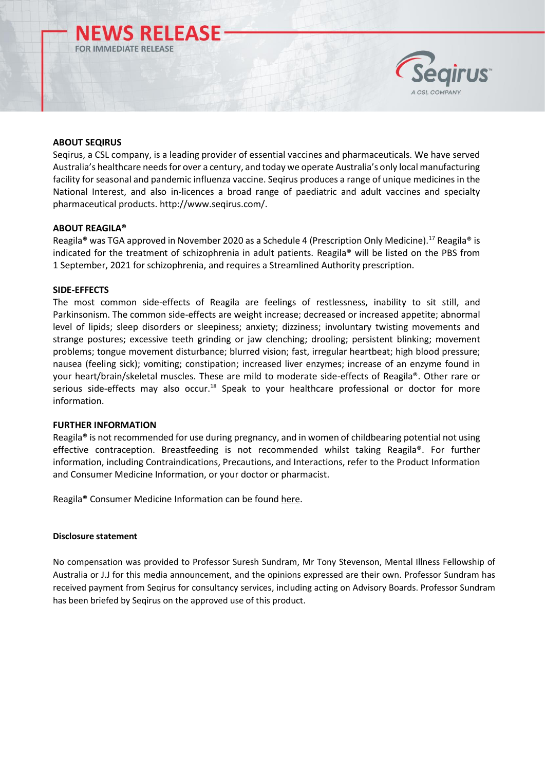



# **ABOUT SEQIRUS**

Seqirus, a CSL company, is a leading provider of essential vaccines and pharmaceuticals. We have served Australia's healthcare needs for over a century, and today we operate Australia's only local manufacturing facility for seasonal and pandemic influenza vaccine. Seqirus produces a range of unique medicines in the National Interest, and also in-licences a broad range of paediatric and adult vaccines and specialty pharmaceutical products[. http://www.seqirus.com/.](http://www.seqirus.com/)

#### **ABOUT REAGILA®**

Reagila® was TGA approved in November 2020 as a Schedule 4 (Prescription Only Medicine).<sup>17</sup> Reagila® is indicated for the treatment of schizophrenia in adult patients. Reagila® will be listed on the PBS from 1 September, 2021 for schizophrenia, and requires a Streamlined Authority prescription.

#### **SIDE-EFFECTS**

The most common side-effects of Reagila are feelings of restlessness, inability to sit still, and Parkinsonism. The common side-effects are weight increase; decreased or increased appetite; abnormal level of lipids; sleep disorders or sleepiness; anxiety; dizziness; involuntary twisting movements and strange postures; excessive teeth grinding or jaw clenching; drooling; persistent blinking; movement problems; tongue movement disturbance; blurred vision; fast, irregular heartbeat; high blood pressure; nausea (feeling sick); vomiting; constipation; increased liver enzymes; increase of an enzyme found in your heart/brain/skeletal muscles. These are mild to moderate side-effects of Reagila®. Other rare or serious side-effects may also occur.<sup>18</sup> Speak to your healthcare professional or doctor for more information.

# **FURTHER INFORMATION**

Reagila<sup>®</sup> is not recommended for use during pregnancy, and in women of childbearing potential not using effective contraception. Breastfeeding is not recommended whilst taking Reagila®. For further information, including Contraindications, Precautions, and Interactions, refer to the Product Information and Consumer Medicine Information, or your doctor or pharmacist.

Reagila® Consumer Medicine Information can be found [here.](https://www.ebs.tga.gov.au/ebs/picmi/picmirepository.nsf/pdf?OpenAgent&id=CP-2020-CMI-02599-1&d=202107141016933)

#### **Disclosure statement**

No compensation was provided to Professor Suresh Sundram, Mr Tony Stevenson, Mental Illness Fellowship of Australia or J.J for this media announcement, and the opinions expressed are their own. Professor Sundram has received payment from Seqirus for consultancy services, including acting on Advisory Boards. Professor Sundram has been briefed by Seqirus on the approved use of this product.